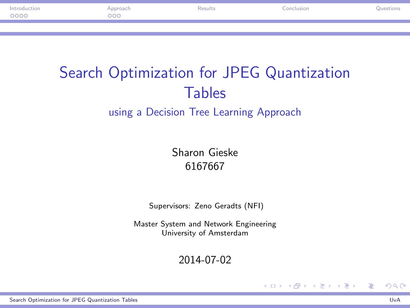| Introduction |     | Results | onclusion |  |
|--------------|-----|---------|-----------|--|
| 0000         | poc |         |           |  |
|              |     |         |           |  |
|              |     |         |           |  |

# Search Optimization for JPEG Quantization Tables using a Decision Tree Learning Approach

Sharon Gieske 6167667

Supervisors: Zeno Geradts (NFI)

Master System and Network Engineering University of Amsterdam

2014-07-02

۰

<span id="page-0-0"></span>メロト メ御 トメ 君 トメ 君 トー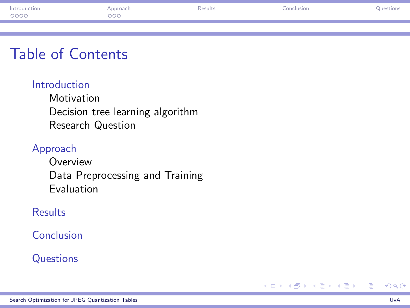| Introduction | `nproach | <b>Conclusion</b> | Juestion |
|--------------|----------|-------------------|----------|
| 0000         | 200      |                   |          |
|              |          |                   |          |
|              |          |                   |          |

## Table of Contents

#### [Introduction](#page-2-0)

**[Motivation](#page-2-0)** [Decision tree learning algorithm](#page-4-0) [Research Question](#page-5-0)

#### [Approach](#page-6-0)

[Overview](#page-6-0) [Data Preprocessing and Training](#page-7-0) [Evaluation](#page-8-0)

#### [Results](#page-9-0)

[Conclusion](#page-13-0)

## **[Questions](#page-14-0)**

活

メロメ メ御 メメ きょうくきょう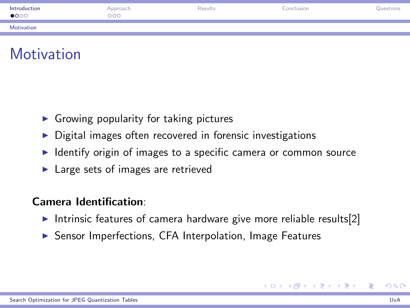| Introduction<br>$\bullet$ 000 | Approach<br>$\circ\circ\circ$ | Results | Conclusion | Questions |
|-------------------------------|-------------------------------|---------|------------|-----------|
| Motivation                    |                               |         |            |           |



- $\triangleright$  Growing popularity for taking pictures
- $\triangleright$  Digital images often recovered in forensic investigations
- $\triangleright$  Identify origin of images to a specific camera or common source
- $\blacktriangleright$  Large sets of images are retrieved

## Camera Identification:

- Intrinsic features of camera hardware give more reliable results[\[2\]](#page-15-1)
- ▶ Sensor Imperfections, CFA Interpolation, Image Features

<span id="page-2-0"></span>イロメ イ団メ イモメ イモメー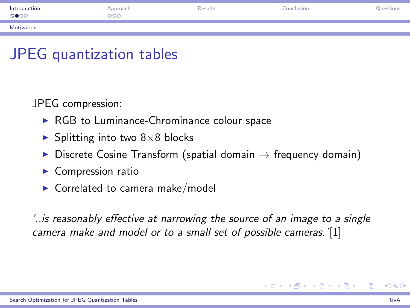| Introduction<br>0000 | Approach<br>000 | Results | Conclusion | Questions |
|----------------------|-----------------|---------|------------|-----------|
| Motivation           |                 |         |            |           |

## JPEG quantization tables

JPEG compression:

- $\triangleright$  RGB to Luminance-Chrominance colour space
- $\blacktriangleright$  Splitting into two 8×8 blocks
- $\triangleright$  Discrete Cosine Transform (spatial domain  $\rightarrow$  frequency domain)
- $\blacktriangleright$  Compression ratio
- $\triangleright$  Correlated to camera make/model

'..is reasonably effective at narrowing the source of an image to a single camera make and model or to a small set of possible cameras.'[\[1\]](#page-15-2)

<span id="page-3-0"></span>イロト イ部 トメ ミト メミト 一毛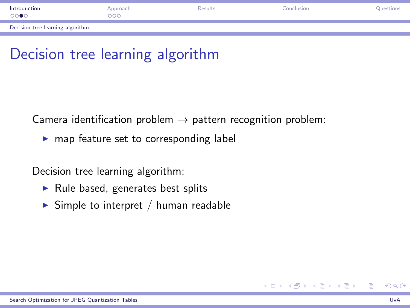| Introduction<br>0000             | Approach<br>000 <sub>o</sub> | Results | Conclusion | Questions |
|----------------------------------|------------------------------|---------|------------|-----------|
| Decision tree learning algorithm |                              |         |            |           |

# Decision tree learning algorithm

Camera identification problem  $\rightarrow$  pattern recognition problem:

 $\blacktriangleright$  map feature set to corresponding label

Decision tree learning algorithm:

- $\blacktriangleright$  Rule based, generates best splits
- $\triangleright$  Simple to interpret / human readable

<span id="page-4-0"></span>重

メロメ メ都 メメ きょうくぼ メー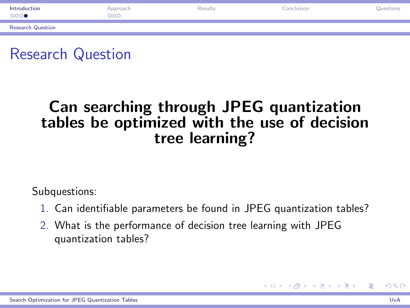| Introduction<br>$\circ\circ\circ\bullet$ | Approach<br>000 | Results | Conclusion | Questions |
|------------------------------------------|-----------------|---------|------------|-----------|
| <b>Research Question</b>                 |                 |         |            |           |

## Research Question

## Can searching through JPEG quantization tables be optimized with the use of decision tree learning?

Subquestions:

- 1. Can identifiable parameters be found in JPEG quantization tables?
- 2. What is the performance of decision tree learning with JPEG quantization tables?

<span id="page-5-0"></span>AD > R + B + R + B +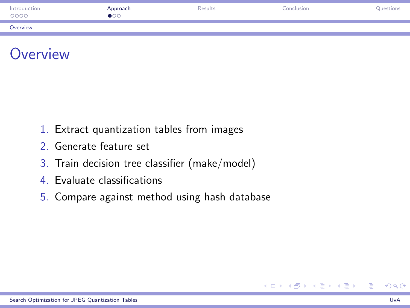| Introduction<br>0000 | Approach<br>$\bullet$ 00 | <b>Results</b> | Conclusion | Questions |
|----------------------|--------------------------|----------------|------------|-----------|
| Overview             |                          |                |            |           |



- 1. Extract quantization tables from images
- 2. Generate feature set
- 3. Train decision tree classifier (make/model)
- 4. Evaluate classifications
- 5. Compare against method using hash database

<span id="page-6-0"></span>Ε

メロメ メ御 メメ きょうくきょう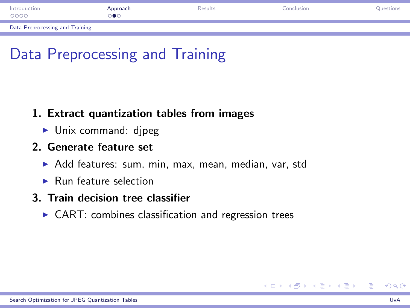| Introduction<br>0000            | Approach<br>∍●○ | Results | Conclusion | Questions |
|---------------------------------|-----------------|---------|------------|-----------|
| Data Preprocessing and Training |                 |         |            |           |

# Data Preprocessing and Training

#### 1. Extract quantization tables from images

 $\blacktriangleright$  Unix command: djpeg

#### 2. Generate feature set

- $\blacktriangleright$  Add features: sum, min, max, mean, median, var, std
- $\blacktriangleright$  Run feature selection

## 3. Train decision tree classifier

 $\triangleright$  CART: combines classification and regression trees

<span id="page-7-0"></span>メロメ メ部 メメ きょくきょう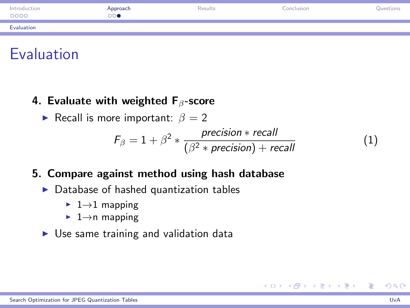| Introduction<br>0000 | Approach<br>⊜⊙ | Results | Conclusion | Questions |
|----------------------|----------------|---------|------------|-----------|
| Evaluation           |                |         |            |           |

## Evaluation

۰

- 4. Evaluate with weighted  $F_\beta$ -score
	- **Figure** Recall is more important:  $\beta = 2$

$$
F_{\beta} = 1 + \beta^2 * \frac{precision * recall}{(\beta^2 * precision) + recall}
$$
 (1)

## 5. Compare against method using hash database

- $\triangleright$  Database of hashed quantization tables
	- $\blacktriangleright$  1  $\rightarrow$  1 mapping
	- $\blacktriangleright$  1 $\rightarrow$ n mapping
- $\triangleright$  Use same training and validation data

<span id="page-8-0"></span>メロメ メ御 メメ きょくきょ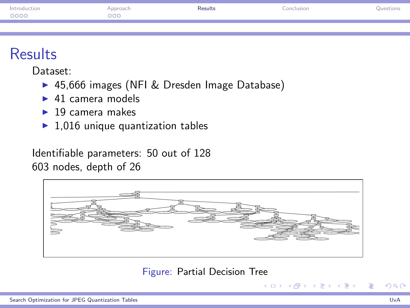| Introduction<br>0000 | Approach<br>000 | Results | Conclusion | Question |
|----------------------|-----------------|---------|------------|----------|
|                      |                 |         |            |          |

# **Results**

Dataset:

- ▶ 45,666 images (NFI & Dresden Image Database)
- $\blacktriangleright$  41 camera models
- $\blacktriangleright$  19 camera makes
- $\blacktriangleright$  1,016 unique quantization tables

Identifiable parameters: 50 out of 128 603 nodes, depth of 26



#### Figure: Partial Decision Tree

<span id="page-9-0"></span>メロメ メ御 メメ きょくきょう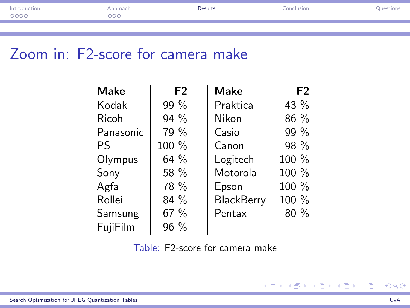| Introduction | <b>pproach</b> | Results<br>. | onclusion<br>. | <b>Questions</b> |
|--------------|----------------|--------------|----------------|------------------|
| 0000         | ೦೦೦            |              |                |                  |
|              |                |              |                |                  |

# Zoom in: F2-score for camera make

| <b>Make</b> | F <sub>2</sub> | <b>Make</b>       | F <sub>2</sub> |
|-------------|----------------|-------------------|----------------|
| Kodak       | 99%            | Praktica          | $43\%$         |
| Ricoh       | $94\%$         | Nikon             | $86\%$         |
| Panasonic   | 79 %           | Casio             | 99 %           |
| Pς          | 100 %          | Canon             | 98 %           |
| Olympus     | 64 $%$         | Logitech          | 100 %          |
| Sony        | 58 %           | Motorola          | 100 %          |
| Agfa        | 78 %           | Epson             | 100 %          |
| Rollei      | $84\%$         | <b>BlackBerry</b> | 100 %          |
| Samsung     | 67 %           | Pentax            | 80%            |
| FujiFilm    | 96 %           |                   |                |

Table: F2-score for camera make

÷

重

メロメ メ都 メメ きょうくぼ メー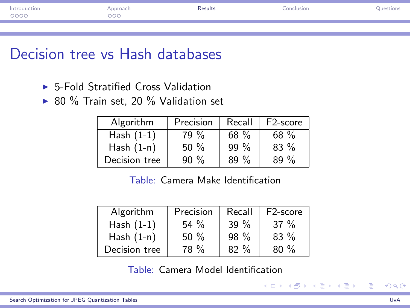| Introduction | pproach. | Results<br>. | onclusion | <b>Question</b> |
|--------------|----------|--------------|-----------|-----------------|
| 0000         | ooo      |              |           |                 |
|              |          |              |           |                 |
|              |          |              |           |                 |

## Decision tree vs Hash databases

- $\blacktriangleright$  5-Fold Stratified Cross Validation
- $\triangleright$  80 % Train set, 20 % Validation set

| Algorithm     | Precision | Recall | F <sub>2</sub> -score |
|---------------|-----------|--------|-----------------------|
| Hash $(1-1)$  | 79 %      | 68 $%$ | $68 \%$               |
| Hash $(1-n)$  | $50 \%$   | $99\%$ | $83\%$                |
| Decision tree | $90\%$    | $89\%$ | $89\%$                |

Table: Camera Make Identification

| Algorithm     | Precision | Recall | F <sub>2</sub> -score |
|---------------|-----------|--------|-----------------------|
| Hash $(1-1)$  | 54 $%$    | 39 $%$ | 37 $\%$               |
| Hash $(1-n)$  | $50\%$    | $98\%$ | $83\%$                |
| Decision tree | 78 %      | $82\%$ | $80\%$                |

Table: Camera Model Identification

Ε

∢ロト ∢部 ト ∢ き ト ∢ き ト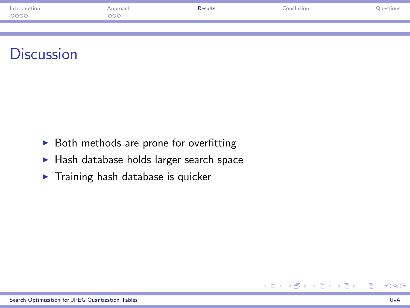| Introduction | pproach. | Results<br>. | onclusion | <b>Question</b> |
|--------------|----------|--------------|-----------|-----------------|
| 0000         | ooo      |              |           |                 |
|              |          |              |           |                 |
|              |          |              |           |                 |



- $\triangleright$  Both methods are prone for overfitting
- $\blacktriangleright$  Hash database holds larger search space
- $\blacktriangleright$  Training hash database is quicker

Ε

メロメ メ都 メメモメ メモメ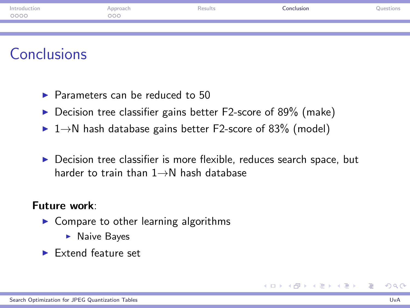| Introduction<br>0000 | Approach<br>000 | Results | Conclusion | Questions |
|----------------------|-----------------|---------|------------|-----------|
|                      |                 |         |            |           |

## **Conclusions**

- $\triangleright$  Parameters can be reduced to 50
- $\triangleright$  Decision tree classifier gains better F2-score of 89% (make)
- $\blacktriangleright$  1 $\rightarrow$ N hash database gains better F2-score of 83% (model)
- $\triangleright$  Decision tree classifier is more flexible, reduces search space, but harder to train than 1→N hash database

#### Future work:

- $\triangleright$  Compare to other learning algorithms
	- $\blacktriangleright$  Naive Bayes
- $\blacktriangleright$  Extend feature set

<span id="page-13-0"></span>メロメ メ御う メミメ メミメー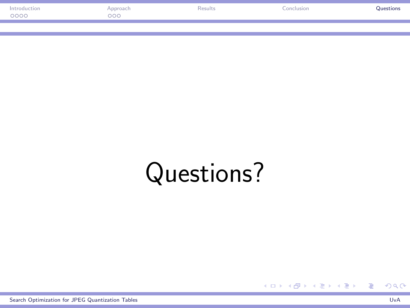| Introduction | <i><b>Approach</b></i> | Results<br>. | onclusion | Questions |
|--------------|------------------------|--------------|-----------|-----------|
| 2000         | ०००                    |              |           |           |
|              |                        |              |           |           |
|              |                        |              |           |           |

# Questions?

[Search Optimization for JPEG Quantization Tables](#page-0-0) UvA

<span id="page-14-0"></span>重

メロメ メ部 メメ きょくきょう